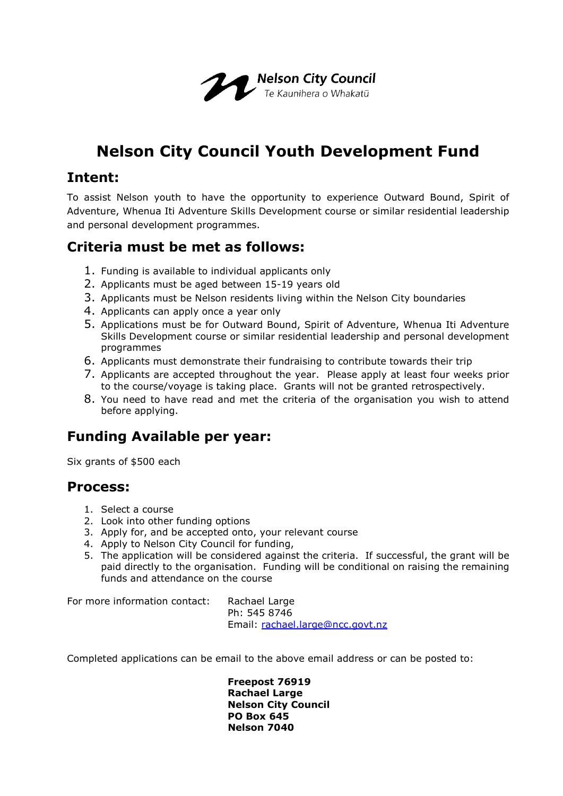

# **Nelson City Council Youth Development Fund**

#### **Intent:**

To assist Nelson youth to have the opportunity to experience Outward Bound, Spirit of Adventure, Whenua Iti Adventure Skills Development course or similar residential leadership and personal development programmes.

### **Criteria must be met as follows:**

- 1. Funding is available to individual applicants only
- 2. Applicants must be aged between 15-19 years old
- 3. Applicants must be Nelson residents living within the Nelson City boundaries
- 4. Applicants can apply once a year only
- 5. Applications must be for Outward Bound, Spirit of Adventure, Whenua Iti Adventure Skills Development course or similar residential leadership and personal development programmes
- 6. Applicants must demonstrate their fundraising to contribute towards their trip
- 7. Applicants are accepted throughout the year. Please apply at least four weeks prior to the course/voyage is taking place. Grants will not be granted retrospectively.
- 8. You need to have read and met the criteria of the organisation you wish to attend before applying.

### **Funding Available per year:**

Six grants of \$500 each

#### **Process:**

- 1. Select a course
- 2. Look into other funding options
- 3. Apply for, and be accepted onto, your relevant course
- 4. Apply to Nelson City Council for funding,
- 5. The application will be considered against the criteria. If successful, the grant will be paid directly to the organisation. Funding will be conditional on raising the remaining funds and attendance on the course

For more information contact: Rachael Large

Ph: 545 8746 Email: [rachael.large@ncc.govt.nz](mailto:rachael.large@ncc.govt.nz)

Completed applications can be email to the above email address or can be posted to:

**Freepost 76919 Rachael Large Nelson City Council PO Box 645 Nelson 7040**